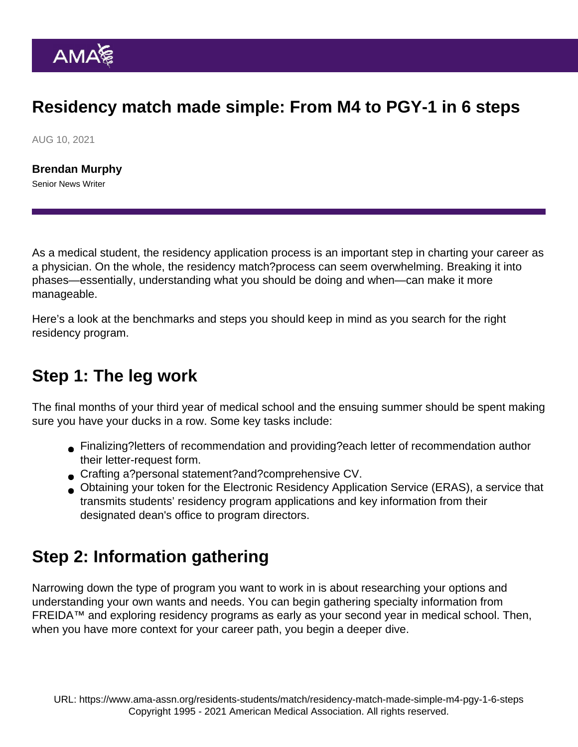## Residency match made simple: From M4 to PGY-1 in 6 steps

AUG 10, 2021

[Brendan Murphy](https://www.ama-assn.org/news-leadership-viewpoints/authors-news-leadership-viewpoints/brendan-murphy) Senior News Writer

As a medical student, the [residency application process](https://www.ama-assn.org/topics/residency-application) is an important step in charting your career as a physician. On the whole, the residency match?process can seem overwhelming. Breaking it into phases—essentially, understanding what you should be doing and when—can make it more manageable.

Here's a look at the benchmarks and steps you should keep in mind as you search for the right residency program.

#### Step 1: The leg work

The final months of your third year of medical school and the ensuing summer should be spent making sure you have your ducks in a row. Some key tasks include:

- [Finalizing?letters of recommendation](https://www.ama-assn.org/residents-students/residency/how-secure-letters-recommendation-sparklehttps:/www.ama-assn.org/residents-students/residency/how-secure-letters-recommendation-sparkle) and providing?each letter of recommendation author their letter-request form.
- Crafting a?[personal statement?](https://www.ama-assn.org/residents-students/residency/residency-match-4-tips-writing-standout-personal-statement)and[?comprehensive CV](https://www.ama-assn.org/residents-students/residency/6-steps-building-competitive-cv).
- Obtaining your token for the Electronic Residency Application Service (ERAS), a service that transmits students' residency program applications and key information from their designated dean's office to program directors.

#### Step 2: Information gathering

Narrowing down the type of program you want to work in is about researching your options and understanding your own wants and needs. You can begin gathering specialty information from FREIDA™ and exploring residency programs as early as your second year in medical school. Then, when you have more context for your career path, you begin a deeper dive.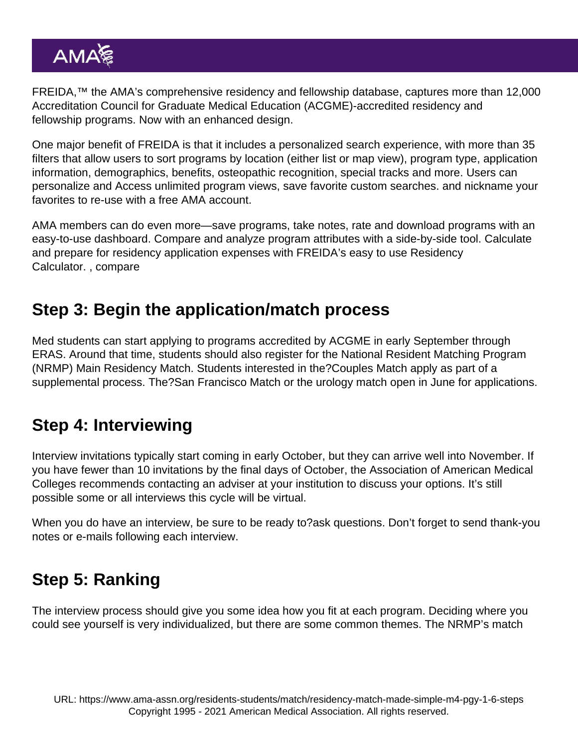[FREIDA](https://freida.ama-assn.org/),™ the AMA's comprehensive residency and fellowship database, captures more than 12,000 Accreditation Council for Graduate Medical Education (ACGME)-accredited residency and fellowship programs. Now with an enhanced design.

One major benefit of FREIDA is that it includes a personalized search experience, with more than 35 filters that allow users to sort programs by location (either list or map view), program type, application information, demographics, benefits, osteopathic recognition, special tracks and more. Users can personalize and Access unlimited program views, save favorite custom searches. and nickname your favorites to re-use with a free AMA account.

AMA members can do even more—save programs, take notes, rate and download programs with an easy-to-use dashboard. Compare and analyze program attributes with a side-by-side tool. Calculate and prepare for residency application expenses with FREIDA's easy to use Residency Calculator. , compare

### Step 3: Begin the application/match process

Med students can start applying to programs accredited by ACGME in early September through ERAS. Around that time, students should also register for the National Resident Matching Program (NRMP) Main Residency Match. Students interested in the[?Couples Match](https://www.ama-assn.org/residents-students/match/perfecting-it-pair-do-s-and-don-ts-couples-match) apply as part of a supplemental process. The?San Francisco Match or the urology match open in June for applications.

### Step 4: Interviewing

Interview invitations typically start coming in early October, but they can arrive well into November. If you have fewer than 10 invitations by the final days of October, the Association of American Medical Colleges recommends contacting an adviser at your institution to discuss your options. It's still possible some or all interviews this cycle will be virtual.

When you do have an interview, be sure to be ready to?[ask questions.](https://www.ama-assn.org/residents-students/residency/top-questions-ask-during-your-residency-program-interviews) Don't forget to send thank-you notes or e-mails following each interview.

# Step 5: Ranking

The interview process should give you some idea how you fit at each program. Deciding where you could see yourself is very individualized, but there are some [common themes.](https://www.ama-assn.org/residents-students/residency/which-factors-do-applicants-weigh-most-when-picking-residency-programs) The NRMP's match